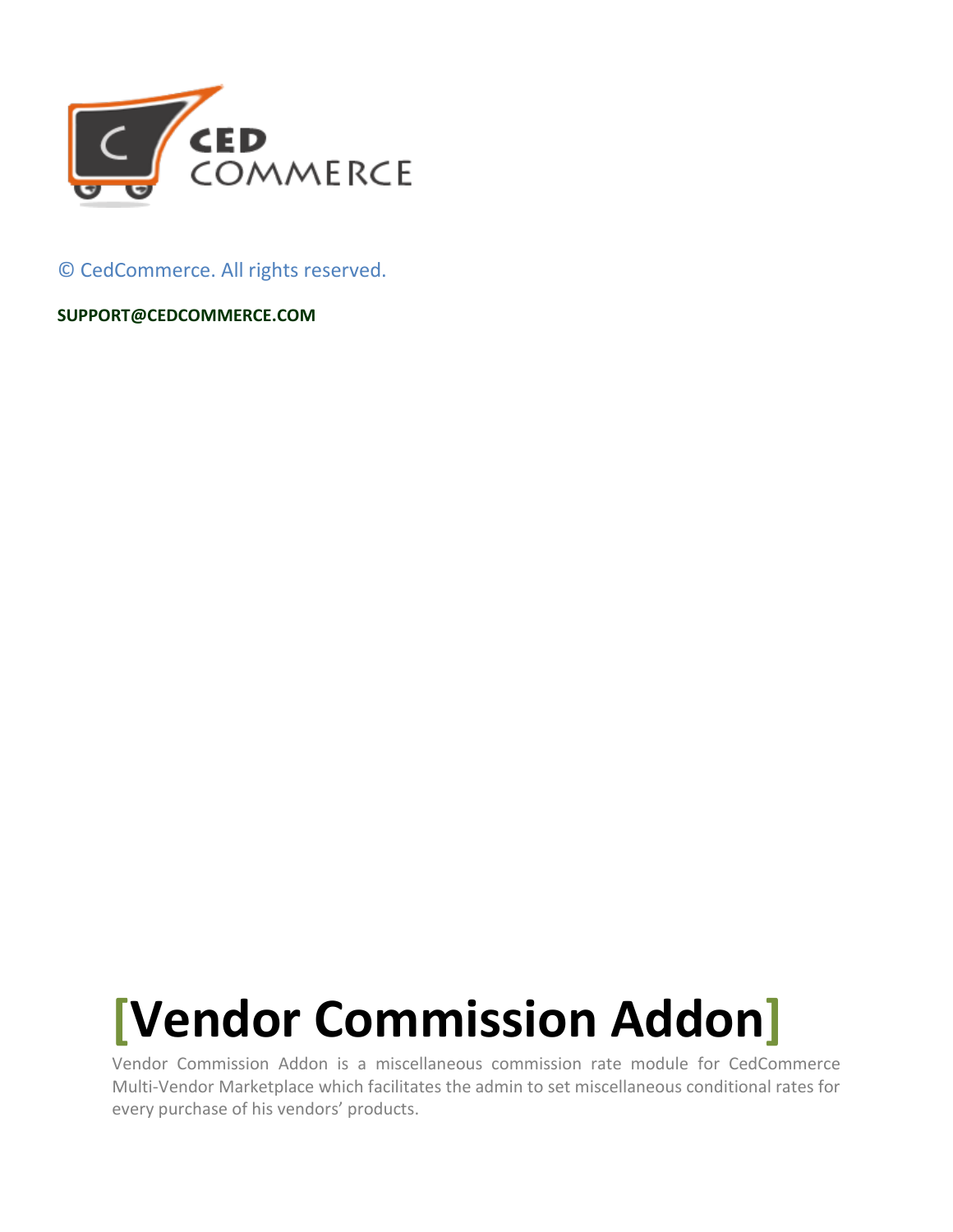

© CedCommerce. All rights reserved.

**SUPPORT@CEDCOMMERCE.COM**

# **[Vendor Commission Addon]**

Vendor Commission Addon is a miscellaneous commission rate module for CedCommerce Multi-Vendor Marketplace which facilitates the admin to set miscellaneous conditional rates for every purchase of his vendors' products.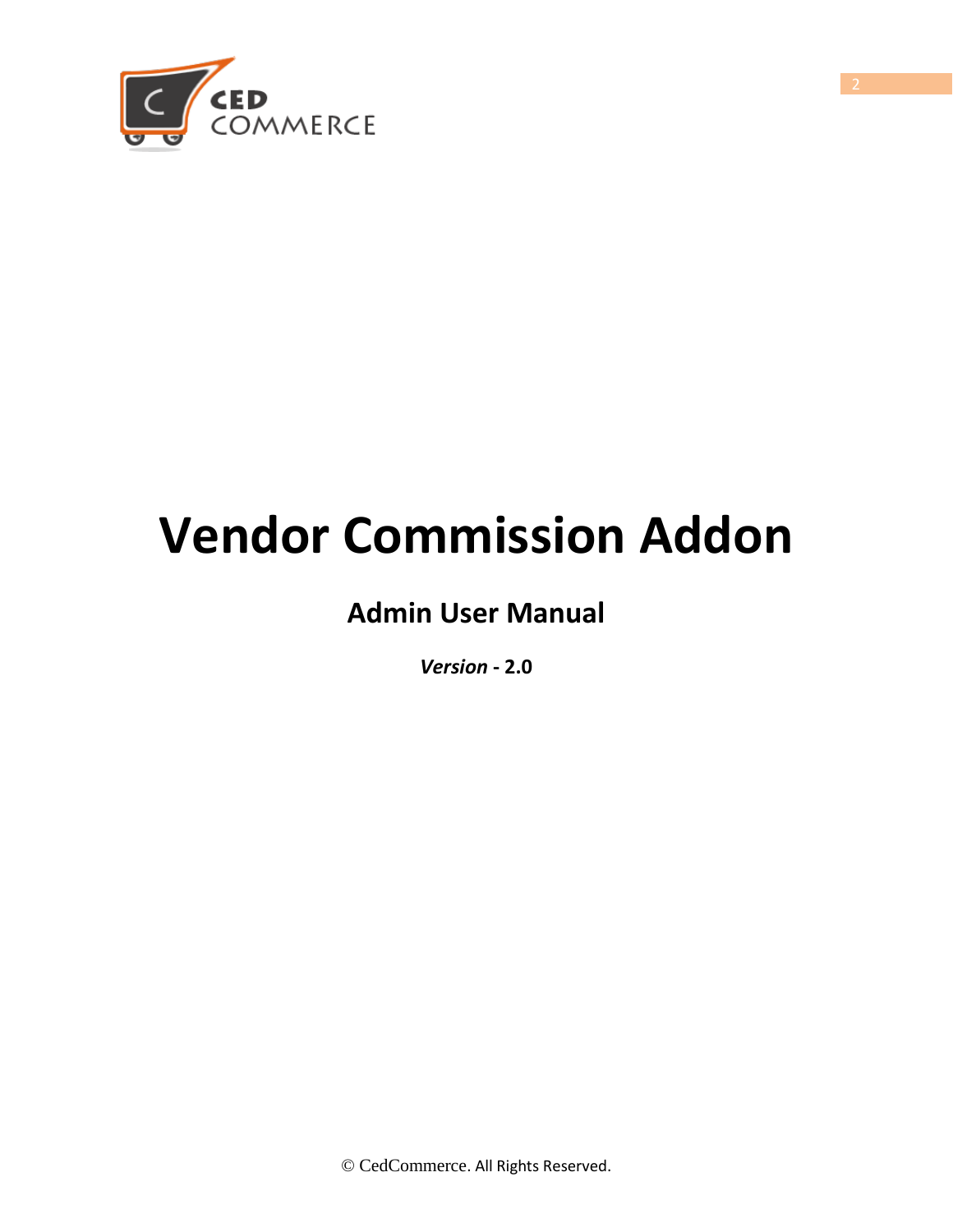

## **Vendor Commission Addon**

## **Admin User Manual**

*Version* **- 2.0**

© CedCommerce. All Rights Reserved.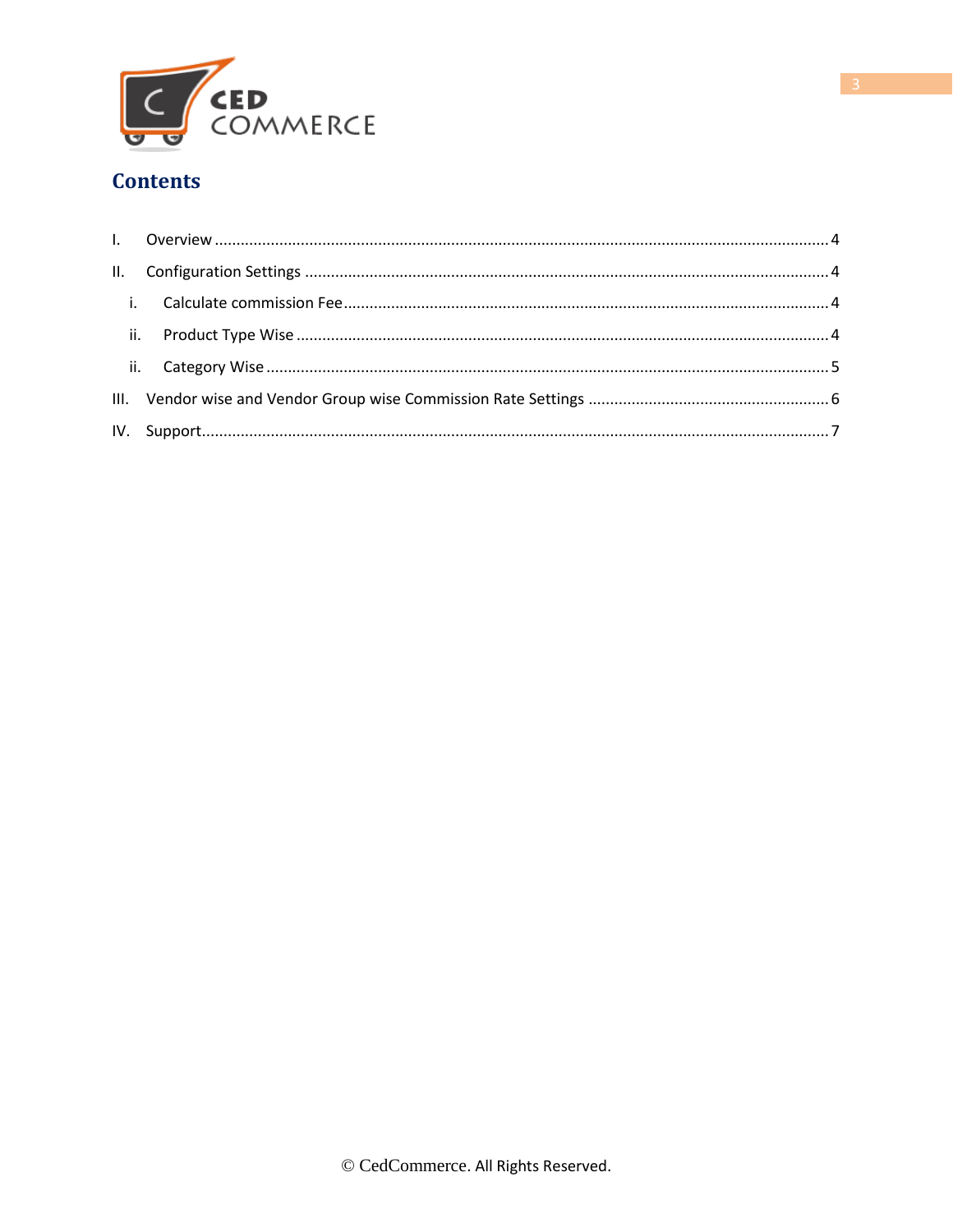

#### **Contents**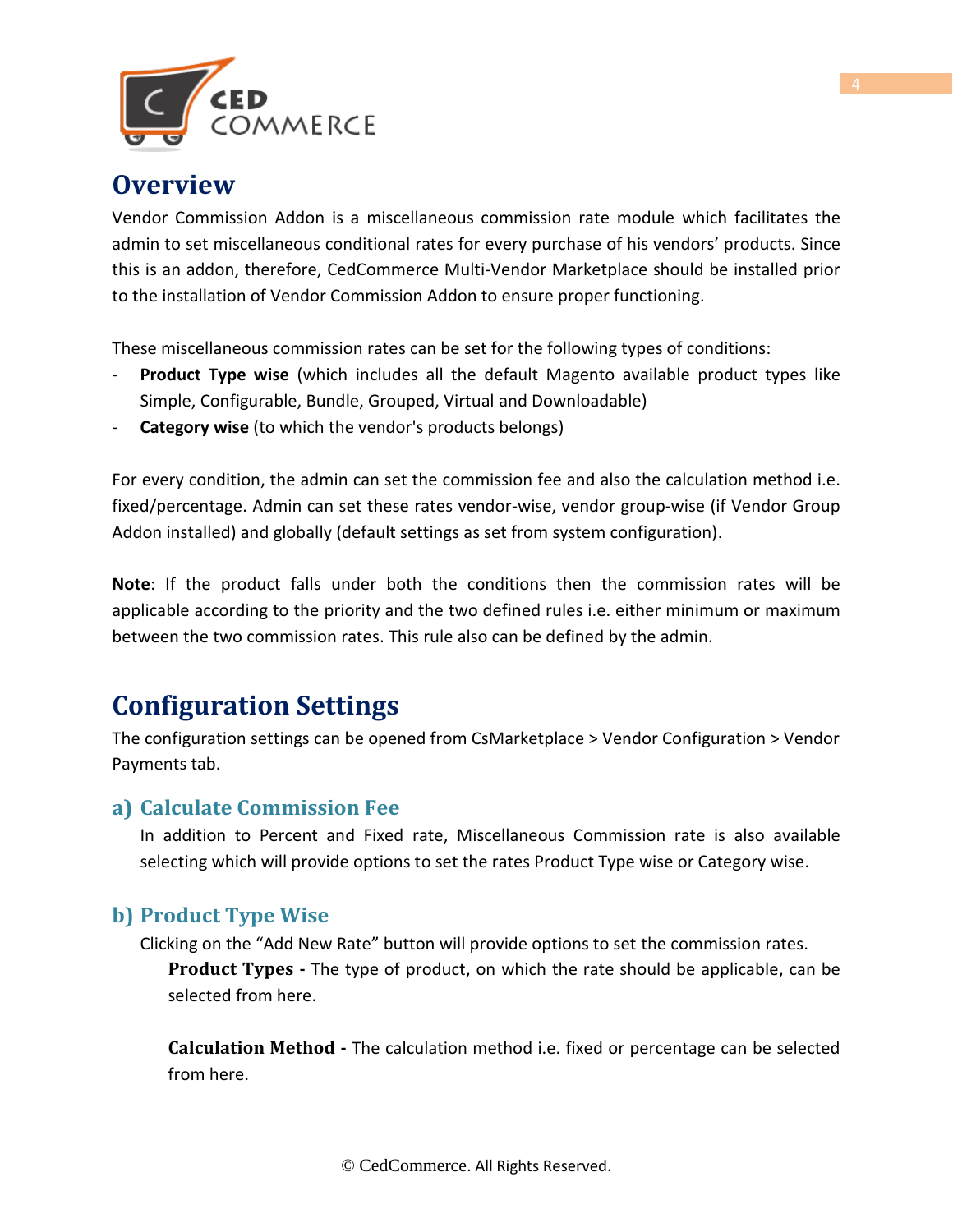

### <span id="page-3-0"></span>**Overview**

Vendor Commission Addon is a miscellaneous commission rate module which facilitates the admin to set miscellaneous conditional rates for every purchase of his vendors' products. Since this is an addon, therefore, CedCommerce Multi-Vendor Marketplace should be installed prior to the installation of Vendor Commission Addon to ensure proper functioning.

These miscellaneous commission rates can be set for the following types of conditions:

- **Product Type wise** (which includes all the default Magento available product types like Simple, Configurable, Bundle, Grouped, Virtual and Downloadable)
- **Category wise** (to which the vendor's products belongs)

For every condition, the admin can set the commission fee and also the calculation method i.e. fixed/percentage. Admin can set these rates vendor-wise, vendor group-wise (if Vendor Group Addon installed) and globally (default settings as set from system configuration).

**Note**: If the product falls under both the conditions then the commission rates will be applicable according to the priority and the two defined rules i.e. either minimum or maximum between the two commission rates. This rule also can be defined by the admin.

## <span id="page-3-1"></span>**Configuration Settings**

The configuration settings can be opened from CsMarketplace > Vendor Configuration > Vendor Payments tab.

#### **a) Calculate Commission Fee**

In addition to Percent and Fixed rate, Miscellaneous Commission rate is also available selecting which will provide options to set the rates Product Type wise or Category wise.

#### **b) Product Type Wise**

Clicking on the "Add New Rate" button will provide options to set the commission rates. **Product Types -** The type of product, on which the rate should be applicable, can be selected from here.

**Calculation Method -** The calculation method i.e. fixed or percentage can be selected from here.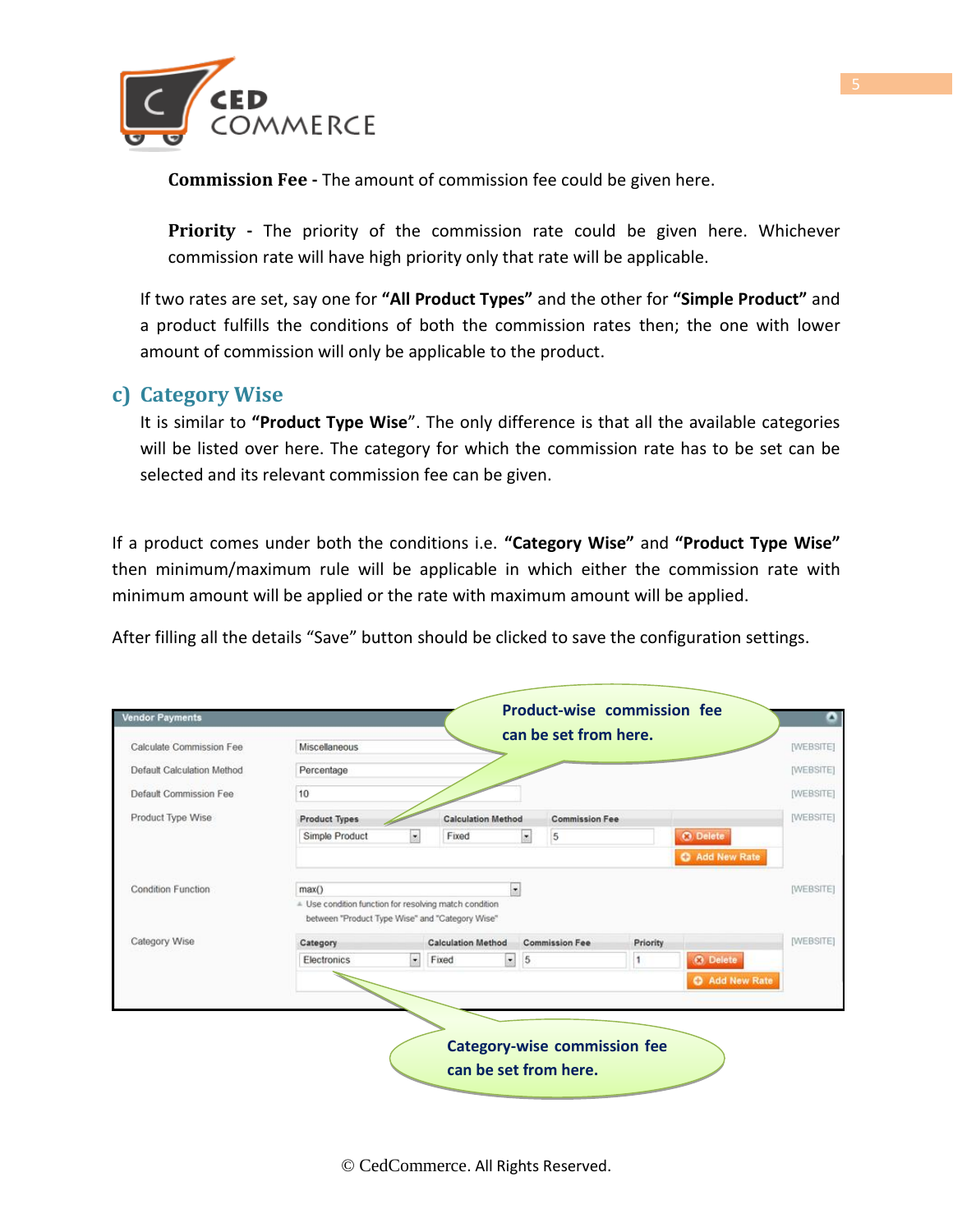

**Commission Fee -** The amount of commission fee could be given here.

**Priority -** The priority of the commission rate could be given here. Whichever commission rate will have high priority only that rate will be applicable.

If two rates are set, say one for **"All Product Types"** and the other for **"Simple Product"** and a product fulfills the conditions of both the commission rates then; the one with lower amount of commission will only be applicable to the product.

#### **c) Category Wise**

It is similar to **"Product Type Wise**". The only difference is that all the available categories will be listed over here. The category for which the commission rate has to be set can be selected and its relevant commission fee can be given.

If a product comes under both the conditions i.e. **"Category Wise"** and **"Product Type Wise"** then minimum/maximum rule will be applicable in which either the commission rate with minimum amount will be applied or the rate with maximum amount will be applied.

After filling all the details "Save" button should be clicked to save the configuration settings.

| Calculate Commission Fee   | can be set from here.<br><b>Miscellaneous</b>                                |                           |                           |               |                                     |   |                 | <b>IWEBSITE!</b> |
|----------------------------|------------------------------------------------------------------------------|---------------------------|---------------------------|---------------|-------------------------------------|---|-----------------|------------------|
| Default Calculation Method | Percentage                                                                   |                           |                           |               |                                     |   |                 |                  |
| Default Commission Fee     | 10                                                                           |                           |                           |               |                                     |   |                 | [WEBSITE]        |
| Product Type Wise          | <b>Product Types</b>                                                         |                           | <b>Calculation Method</b> |               | <b>Commission Fee</b>               |   |                 | [WEBSITE]        |
|                            | Simple Product                                                               | $\bullet$                 | Fixed                     | $\frac{1}{2}$ | 5                                   |   | <b>O</b> Delete |                  |
|                            |                                                                              |                           |                           |               |                                     |   | Add New Rate    |                  |
| Condition Function         | $\bullet$<br>max()<br>= Use condition function for resolving match condition |                           |                           |               |                                     |   |                 | [WEBSITE]        |
| Category Wise              | between "Product Type Wise" and "Category Wise"<br>Category                  | <b>Calculation Method</b> | <b>Commission Fee</b>     |               | Priority                            |   | [WEBSITE]       |                  |
|                            | Electronics                                                                  | $\bullet$                 | Fixed                     | $\bullet$ 5   |                                     | 1 | <b>O</b> Delete |                  |
|                            |                                                                              |                           |                           |               |                                     |   | Add New Rate    |                  |
|                            |                                                                              |                           |                           |               |                                     |   |                 |                  |
|                            |                                                                              |                           |                           |               |                                     |   |                 |                  |
|                            |                                                                              |                           |                           |               | <b>Category-wise commission fee</b> |   |                 |                  |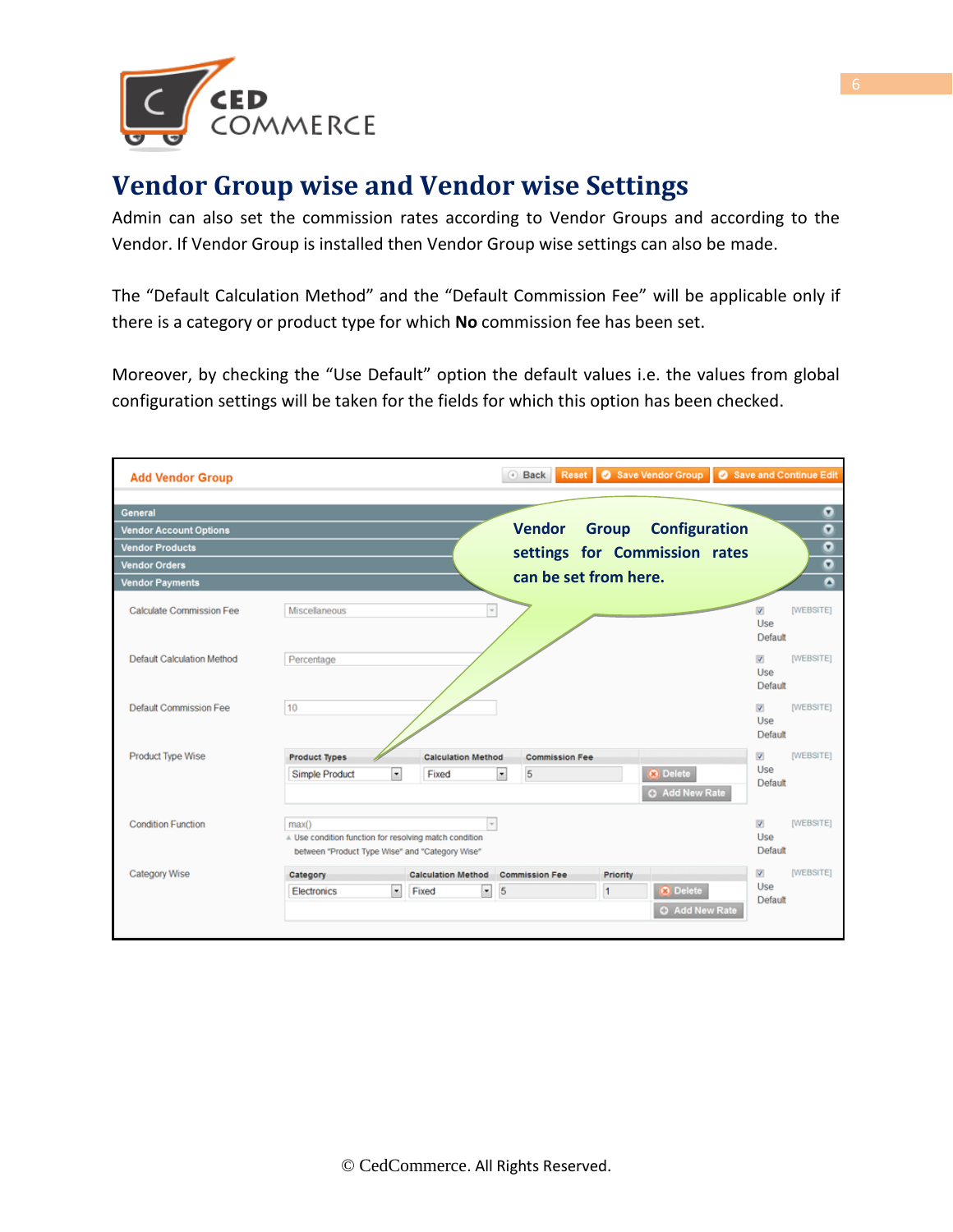

## **Vendor Group wise and Vendor wise Settings**

Admin can also set the commission rates according to Vendor Groups and according to the Vendor. If Vendor Group is installed then Vendor Group wise settings can also be made.

The "Default Calculation Method" and the "Default Commission Fee" will be applicable only if there is a category or product type for which **No** commission fee has been set.

Moreover, by checking the "Use Default" option the default values i.e. the values from global configuration settings will be taken for the fields for which this option has been checked.

| <b>Add Vendor Group</b>           |                                                                                                                    |                                                                                             | $\left( \widehat{a}\right)$<br><b>Back</b> | Reset   C Save Vendor Group   C Save and Continue Edit |                                                                |  |  |  |
|-----------------------------------|--------------------------------------------------------------------------------------------------------------------|---------------------------------------------------------------------------------------------|--------------------------------------------|--------------------------------------------------------|----------------------------------------------------------------|--|--|--|
| <b>General</b>                    |                                                                                                                    |                                                                                             |                                            |                                                        | $\bullet$                                                      |  |  |  |
| <b>Vendor Account Options</b>     |                                                                                                                    | <b>Vendor</b>                                                                               | <b>Configuration</b><br><b>Group</b>       | $\overline{\mathbf{o}}$                                |                                                                |  |  |  |
| <b>Vendor Products</b>            |                                                                                                                    |                                                                                             |                                            | $\bullet$                                              |                                                                |  |  |  |
| <b>Vendor Orders</b>              |                                                                                                                    | settings for Commission rates<br>$\bullet$<br>can be set from here.<br>$\overline{\bullet}$ |                                            |                                                        |                                                                |  |  |  |
| <b>Vendor Payments</b>            |                                                                                                                    |                                                                                             |                                            |                                                        |                                                                |  |  |  |
| <b>Calculate Commission Fee</b>   | Miscellaneous                                                                                                      | $\overline{\phantom{a}}$                                                                    |                                            |                                                        | [WEBSITE]<br>$\overline{\mathsf{v}}$<br>Use<br>Default         |  |  |  |
| <b>Default Calculation Method</b> | Percentage                                                                                                         |                                                                                             |                                            |                                                        | [WEBSITE]<br>$\overline{\mathbf{v}}$<br>Use<br>Default         |  |  |  |
| <b>Default Commission Fee</b>     | 10                                                                                                                 |                                                                                             |                                            |                                                        | $\overline{\mathcal{L}}$<br><b>[WEBSITE]</b><br>Use<br>Default |  |  |  |
| Product Type Wise                 | <b>Product Types</b>                                                                                               | <b>Calculation Method</b>                                                                   | <b>Commission Fee</b>                      | [WEBSITE]<br>$\vert$                                   |                                                                |  |  |  |
|                                   | Simple Product<br>$\bullet$                                                                                        | Fixed                                                                                       | 5<br>$\overline{\phantom{a}}$              | <b>3</b> Delete<br><b>C</b> Add New Rate               | Use<br>Default                                                 |  |  |  |
| <b>Condition Function</b>         | max()<br>A Use condition function for resolving match condition<br>between "Product Type Wise" and "Category Wise" | $\scriptstyle\rm w$                                                                         |                                            |                                                        | [WEBSITE]<br>$\overline{v}$<br>Use<br>Default                  |  |  |  |
| <b>Category Wise</b>              | Category                                                                                                           | <b>Calculation Method</b>                                                                   | <b>Commission Fee</b>                      | Priority                                               | $\overline{\mathsf{v}}$<br>[WEBSITE]                           |  |  |  |
|                                   | $\bullet$<br>Electronics                                                                                           | Fixed<br>$\bullet$                                                                          | 5                                          | <b>a</b> Delete<br>$\vert$ 1                           | Use<br>Default                                                 |  |  |  |
|                                   |                                                                                                                    |                                                                                             |                                            | <b>C</b> Add New Rate                                  |                                                                |  |  |  |